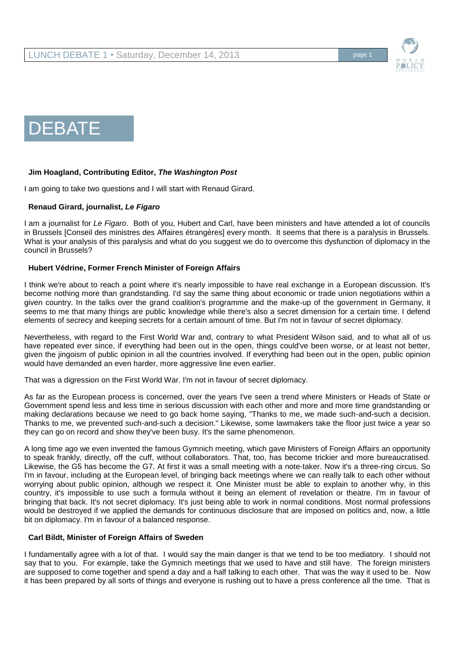



## **Jim Hoagland, Contributing Editor,** *The Washington Post*

I am going to take two questions and I will start with Renaud Girard.

### **Renaud Girard, journalist,** *Le Figaro*

I am a journalist for *Le Figaro*. Both of you, Hubert and Carl, have been ministers and have attended a lot of councils in Brussels [Conseil des ministres des Affaires étrangères] every month. It seems that there is a paralysis in Brussels. What is your analysis of this paralysis and what do you suggest we do to overcome this dysfunction of diplomacy in the council in Brussels?

### **Hubert Védrine, Former French Minister of Foreign Affairs**

I think we're about to reach a point where it's nearly impossible to have real exchange in a European discussion. It's become nothing more than grandstanding. I'd say the same thing about economic or trade union negotiations within a given country. In the talks over the grand coalition's programme and the make-up of the government in Germany, it seems to me that many things are public knowledge while there's also a secret dimension for a certain time. I defend elements of secrecy and keeping secrets for a certain amount of time. But I'm not in favour of secret diplomacy.

Nevertheless, with regard to the First World War and, contrary to what President Wilson said, and to what all of us have repeated ever since, if everything had been out in the open, things could've been worse, or at least not better, given the jingoism of public opinion in all the countries involved. If everything had been out in the open, public opinion would have demanded an even harder, more aggressive line even earlier.

That was a digression on the First World War. I'm not in favour of secret diplomacy.

As far as the European process is concerned, over the years I've seen a trend where Ministers or Heads of State or Government spend less and less time in serious discussion with each other and more and more time grandstanding or making declarations because we need to go back home saying, "Thanks to me, we made such-and-such a decision. Thanks to me, we prevented such-and-such a decision." Likewise, some lawmakers take the floor just twice a year so they can go on record and show they've been busy. It's the same phenomenon.

A long time ago we even invented the famous Gymnich meeting, which gave Ministers of Foreign Affairs an opportunity to speak frankly, directly, off the cuff, without collaborators. That, too, has become trickier and more bureaucratised. Likewise, the G5 has become the G7. At first it was a small meeting with a note-taker. Now it's a three-ring circus. So I'm in favour, including at the European level, of bringing back meetings where we can really talk to each other without worrying about public opinion, although we respect it. One Minister must be able to explain to another why, in this country, it's impossible to use such a formula without it being an element of revelation or theatre. I'm in favour of bringing that back. It's not secret diplomacy. It's just being able to work in normal conditions. Most normal professions would be destroyed if we applied the demands for continuous disclosure that are imposed on politics and, now, a little bit on diplomacy. I'm in favour of a balanced response.

#### **Carl Bildt, Minister of Foreign Affairs of Sweden**

I fundamentally agree with a lot of that. I would say the main danger is that we tend to be too mediatory. I should not say that to you. For example, take the Gymnich meetings that we used to have and still have. The foreign ministers are supposed to come together and spend a day and a half talking to each other. That was the way it used to be. Now it has been prepared by all sorts of things and everyone is rushing out to have a press conference all the time. That is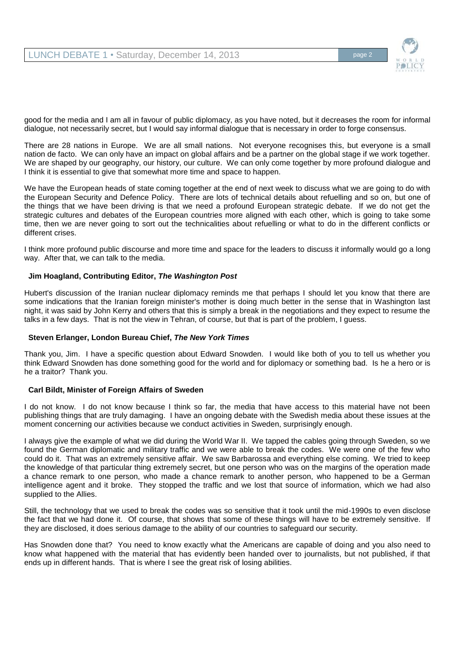

good for the media and I am all in favour of public diplomacy, as you have noted, but it decreases the room for informal dialogue, not necessarily secret, but I would say informal dialogue that is necessary in order to forge consensus.

There are 28 nations in Europe. We are all small nations. Not everyone recognises this, but everyone is a small nation de facto. We can only have an impact on global affairs and be a partner on the global stage if we work together. We are shaped by our geography, our history, our culture. We can only come together by more profound dialogue and I think it is essential to give that somewhat more time and space to happen.

We have the European heads of state coming together at the end of next week to discuss what we are going to do with the European Security and Defence Policy. There are lots of technical details about refuelling and so on, but one of the things that we have been driving is that we need a profound European strategic debate. If we do not get the strategic cultures and debates of the European countries more aligned with each other, which is going to take some time, then we are never going to sort out the technicalities about refuelling or what to do in the different conflicts or different crises.

I think more profound public discourse and more time and space for the leaders to discuss it informally would go a long way. After that, we can talk to the media.

## **Jim Hoagland, Contributing Editor,** *The Washington Post*

Hubert's discussion of the Iranian nuclear diplomacy reminds me that perhaps I should let you know that there are some indications that the Iranian foreign minister's mother is doing much better in the sense that in Washington last night, it was said by John Kerry and others that this is simply a break in the negotiations and they expect to resume the talks in a few days. That is not the view in Tehran, of course, but that is part of the problem, I guess.

#### **Steven Erlanger, London Bureau Chief,** *The New York Times*

Thank you, Jim. I have a specific question about Edward Snowden. I would like both of you to tell us whether you think Edward Snowden has done something good for the world and for diplomacy or something bad. Is he a hero or is he a traitor? Thank you.

#### **Carl Bildt, Minister of Foreign Affairs of Sweden**

I do not know. I do not know because I think so far, the media that have access to this material have not been publishing things that are truly damaging. I have an ongoing debate with the Swedish media about these issues at the moment concerning our activities because we conduct activities in Sweden, surprisingly enough.

I always give the example of what we did during the World War II. We tapped the cables going through Sweden, so we found the German diplomatic and military traffic and we were able to break the codes. We were one of the few who could do it. That was an extremely sensitive affair. We saw Barbarossa and everything else coming. We tried to keep the knowledge of that particular thing extremely secret, but one person who was on the margins of the operation made a chance remark to one person, who made a chance remark to another person, who happened to be a German intelligence agent and it broke. They stopped the traffic and we lost that source of information, which we had also supplied to the Allies.

Still, the technology that we used to break the codes was so sensitive that it took until the mid-1990s to even disclose the fact that we had done it. Of course, that shows that some of these things will have to be extremely sensitive. If they are disclosed, it does serious damage to the ability of our countries to safeguard our security.

Has Snowden done that? You need to know exactly what the Americans are capable of doing and you also need to know what happened with the material that has evidently been handed over to journalists, but not published, if that ends up in different hands. That is where I see the great risk of losing abilities.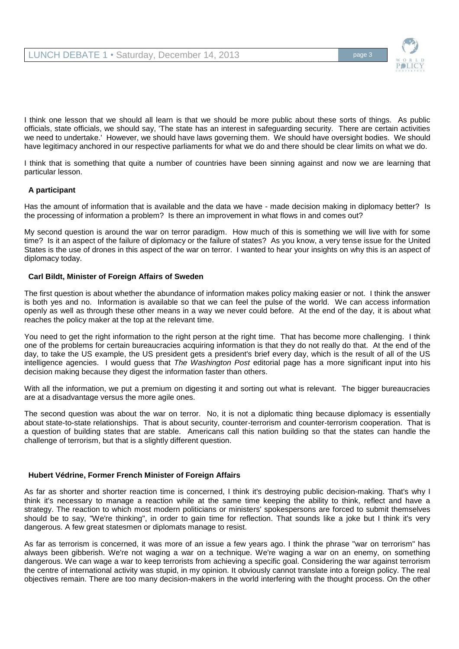

I think one lesson that we should all learn is that we should be more public about these sorts of things. As public officials, state officials, we should say, 'The state has an interest in safeguarding security. There are certain activities we need to undertake.' However, we should have laws governing them. We should have oversight bodies. We should have legitimacy anchored in our respective parliaments for what we do and there should be clear limits on what we do.

I think that is something that quite a number of countries have been sinning against and now we are learning that particular lesson.

# **A participant**

Has the amount of information that is available and the data we have - made decision making in diplomacy better? Is the processing of information a problem? Is there an improvement in what flows in and comes out?

My second question is around the war on terror paradigm. How much of this is something we will live with for some time? Is it an aspect of the failure of diplomacy or the failure of states? As you know, a very tense issue for the United States is the use of drones in this aspect of the war on terror. I wanted to hear your insights on why this is an aspect of diplomacy today.

## **Carl Bildt, Minister of Foreign Affairs of Sweden**

The first question is about whether the abundance of information makes policy making easier or not. I think the answer is both yes and no. Information is available so that we can feel the pulse of the world. We can access information openly as well as through these other means in a way we never could before. At the end of the day, it is about what reaches the policy maker at the top at the relevant time.

You need to get the right information to the right person at the right time. That has become more challenging. I think one of the problems for certain bureaucracies acquiring information is that they do not really do that. At the end of the day, to take the US example, the US president gets a president's brief every day, which is the result of all of the US intelligence agencies. I would guess that *The Washington Post* editorial page has a more significant input into his decision making because they digest the information faster than others.

With all the information, we put a premium on digesting it and sorting out what is relevant. The bigger bureaucracies are at a disadvantage versus the more agile ones.

The second question was about the war on terror. No, it is not a diplomatic thing because diplomacy is essentially about state-to-state relationships. That is about security, counter-terrorism and counter-terrorism cooperation. That is a question of building states that are stable. Americans call this nation building so that the states can handle the challenge of terrorism, but that is a slightly different question.

## **Hubert Védrine, Former French Minister of Foreign Affairs**

As far as shorter and shorter reaction time is concerned, I think it's destroying public decision-making. That's why I think it's necessary to manage a reaction while at the same time keeping the ability to think, reflect and have a strategy. The reaction to which most modern politicians or ministers' spokespersons are forced to submit themselves should be to say, "We're thinking", in order to gain time for reflection. That sounds like a joke but I think it's very dangerous. A few great statesmen or diplomats manage to resist.

As far as terrorism is concerned, it was more of an issue a few years ago. I think the phrase "war on terrorism" has always been gibberish. We're not waging a war on a technique. We're waging a war on an enemy, on something dangerous. We can wage a war to keep terrorists from achieving a specific goal. Considering the war against terrorism the centre of international activity was stupid, in my opinion. It obviously cannot translate into a foreign policy. The real objectives remain. There are too many decision-makers in the world interfering with the thought process. On the other